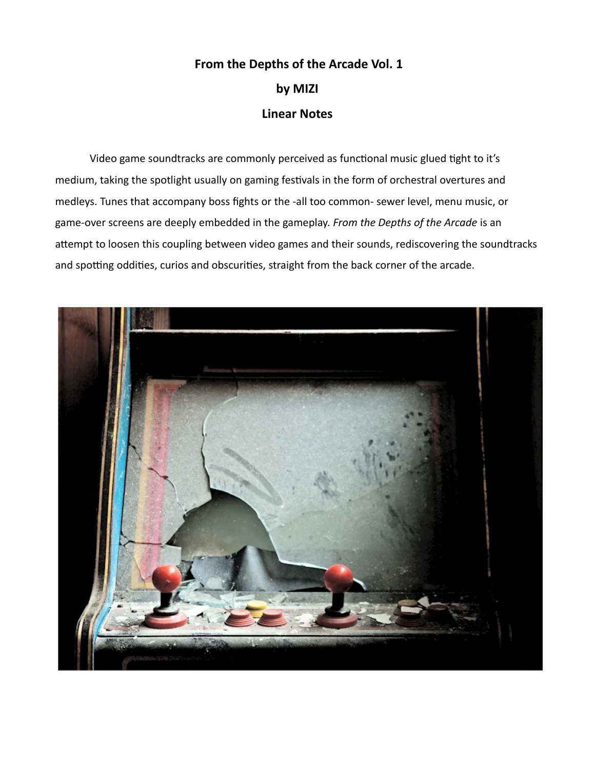## **From the Depths of the Arcade Vol. 1 by MIZI Linear Notes**

Video game soundtracks are commonly perceived as functional music glued tight to it's medium, taking the spotlight usually on gaming festivals in the form of orchestral overtures and medleys. Tunes that accompany boss fights or the -all too common- sewer level, menu music, or game-over screens are deeply embedded in the gameplay. *From the Depths of the Arcade* is an attempt to loosen this coupling between video games and their sounds, rediscovering the soundtracks and spotting oddities, curios and obscurities, straight from the back corner of the arcade.

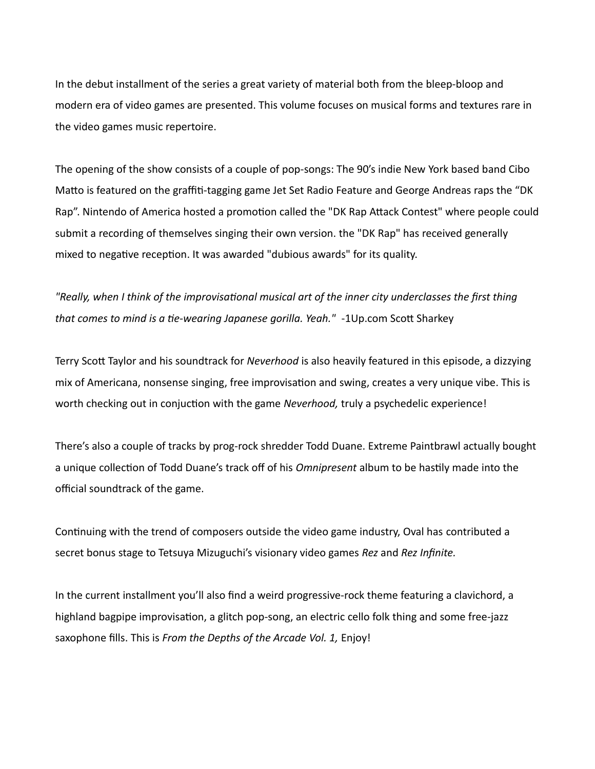In the debut installment of the series a great variety of material both from the bleep-bloop and modern era of video games are presented. This volume focuses on musical forms and textures rare in the video games music repertoire.

The opening of the show consists of a couple of pop-songs: The 90's indie New York based band Cibo Matto is featured on the graffiti-tagging game Jet Set Radio Feature and George Andreas raps the "DK Rap". Nintendo of America hosted a promotion called the "DK Rap Attack Contest" where people could submit a recording of themselves singing their own version. the "DK Rap" has received generally mixed to negative reception. It was awarded "dubious awards" for its quality.

*"Really, when I think of the improvisational musical art of the inner city underclasses the first thing that comes to mind is a tie-wearing Japanese gorilla. Yeah."* -1Up.com Scott Sharkey

Terry Scott Taylor and his soundtrack for *Neverhood* is also heavily featured in this episode, a dizzying mix of Americana, nonsense singing, free improvisation and swing, creates a very unique vibe. This is worth checking out in conjuction with the game *Neverhood,* truly a psychedelic experience!

There's also a couple of tracks by prog-rock shredder Todd Duane. Extreme Paintbrawl actually bought a unique collection of Todd Duane's track off of his *Omnipresent* album to be hastily made into the official soundtrack of the game.

Continuing with the trend of composers outside the video game industry, Oval has contributed a secret bonus stage to Tetsuya Mizuguchi's visionary video games *Rez* and *Rez Infinite.*

In the current installment you'll also find a weird progressive-rock theme featuring a clavichord, a highland bagpipe improvisation, a glitch pop-song, an electric cello folk thing and some free-jazz saxophone fills. This is *From the Depths of the Arcade Vol. 1,* Enjoy!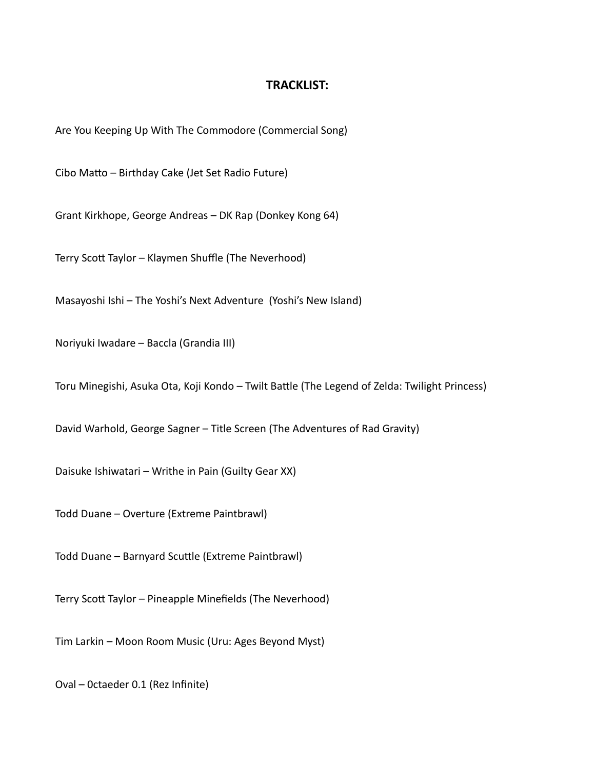## **TRACKLIST:**

Are You Keeping Up With The Commodore (Commercial Song)

Cibo Matto – Birthday Cake (Jet Set Radio Future)

Grant Kirkhope, George Andreas – DK Rap (Donkey Kong 64)

Terry Scott Taylor – Klaymen Shuffle (The Neverhood)

Masayoshi Ishi – The Yoshi's Next Adventure (Yoshi's New Island)

Noriyuki Iwadare – Baccla (Grandia III)

Toru Minegishi, Asuka Ota, Koji Kondo – Twilt Battle (The Legend of Zelda: Twilight Princess)

David Warhold, George Sagner – Title Screen (The Adventures of Rad Gravity)

Daisuke Ishiwatari – Writhe in Pain (Guilty Gear XX)

Todd Duane – Overture (Extreme Paintbrawl)

Todd Duane – Barnyard Scuttle (Extreme Paintbrawl)

Terry Scott Taylor – Pineapple Minefields (The Neverhood)

Tim Larkin – Moon Room Music (Uru: Ages Beyond Myst)

Oval – 0ctaeder 0.1 (Rez Infinite)